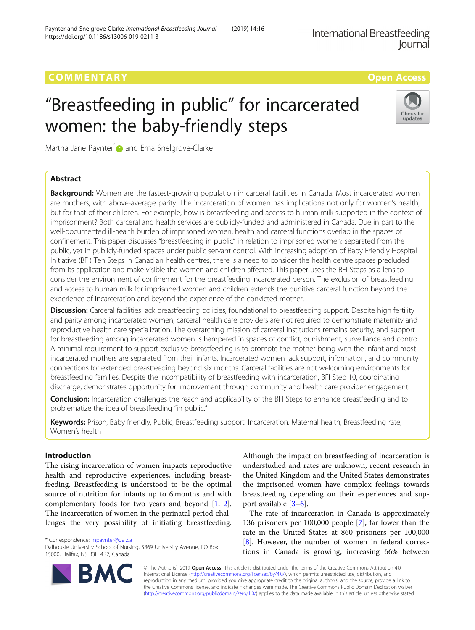# **COMMENTARY** COMMENTARY **COMMENTARY**

# "Breastfeeding in public" for incarcerated women: the baby-friendly steps



Martha Jane Paynter<sup>[\\*](http://orcid.org/0000-0002-4194-8776)</sup> and Erna Snelgrove-Clarke

# Abstract

**Background:** Women are the fastest-growing population in carceral facilities in Canada. Most incarcerated women are mothers, with above-average parity. The incarceration of women has implications not only for women's health, but for that of their children. For example, how is breastfeeding and access to human milk supported in the context of imprisonment? Both carceral and health services are publicly-funded and administered in Canada. Due in part to the well-documented ill-health burden of imprisoned women, health and carceral functions overlap in the spaces of confinement. This paper discusses "breastfeeding in public" in relation to imprisoned women: separated from the public, yet in publicly-funded spaces under public servant control. With increasing adoption of Baby Friendly Hospital Initiative (BFI) Ten Steps in Canadian health centres, there is a need to consider the health centre spaces precluded from its application and make visible the women and children affected. This paper uses the BFI Steps as a lens to consider the environment of confinement for the breastfeeding incarcerated person. The exclusion of breastfeeding and access to human milk for imprisoned women and children extends the punitive carceral function beyond the experience of incarceration and beyond the experience of the convicted mother.

Discussion: Carceral facilities lack breastfeeding policies, foundational to breastfeeding support. Despite high fertility and parity among incarcerated women, carceral health care providers are not required to demonstrate maternity and reproductive health care specialization. The overarching mission of carceral institutions remains security, and support for breastfeeding among incarcerated women is hampered in spaces of conflict, punishment, surveillance and control. A minimal requirement to support exclusive breastfeeding is to promote the mother being with the infant and most incarcerated mothers are separated from their infants. Incarcerated women lack support, information, and community connections for extended breastfeeding beyond six months. Carceral facilities are not welcoming environments for breastfeeding families. Despite the incompatibility of breastfeeding with incarceration, BFI Step 10, coordinating discharge, demonstrates opportunity for improvement through community and health care provider engagement.

**Conclusion:** Incarceration challenges the reach and applicability of the BFI Steps to enhance breastfeeding and to problematize the idea of breastfeeding "in public."

Keywords: Prison, Baby friendly, Public, Breastfeeding support, Incarceration. Maternal health, Breastfeeding rate, Women's health

# Introduction

The rising incarceration of women impacts reproductive health and reproductive experiences, including breastfeeding. Breastfeeding is understood to be the optimal source of nutrition for infants up to 6 months and with complementary foods for two years and beyond [[1,](#page-6-0) [2](#page-6-0)]. The incarceration of women in the perinatal period challenges the very possibility of initiating breastfeeding.

\* Correspondence: [mpaynter@dal.ca](mailto:mpaynter@dal.ca)

Dalhousie University School of Nursing, 5869 University Avenue, PO Box 15000, Halifax, NS B3H 4R2, Canada



Although the impact on breastfeeding of incarceration is understudied and rates are unknown, recent research in the United Kingdom and the United States demonstrates the imprisoned women have complex feelings towards breastfeeding depending on their experiences and support available [[3](#page-6-0)–[6](#page-6-0)].

The rate of incarceration in Canada is approximately 136 prisoners per 100,000 people [[7\]](#page-6-0), far lower than the rate in the United States at 860 prisoners per 100,000 [[8\]](#page-6-0). However, the number of women in federal corrections in Canada is growing, increasing 66% between

© The Author(s). 2019 Open Access This article is distributed under the terms of the Creative Commons Attribution 4.0 International License [\(http://creativecommons.org/licenses/by/4.0/](http://creativecommons.org/licenses/by/4.0/)), which permits unrestricted use, distribution, and reproduction in any medium, provided you give appropriate credit to the original author(s) and the source, provide a link to the Creative Commons license, and indicate if changes were made. The Creative Commons Public Domain Dedication waiver [\(http://creativecommons.org/publicdomain/zero/1.0/](http://creativecommons.org/publicdomain/zero/1.0/)) applies to the data made available in this article, unless otherwise stated.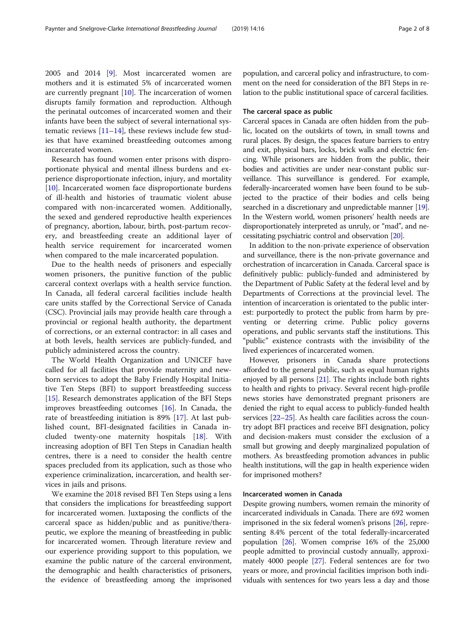2005 and 2014 [[9\]](#page-6-0). Most incarcerated women are mothers and it is estimated 5% of incarcerated women are currently pregnant  $[10]$  $[10]$ . The incarceration of women disrupts family formation and reproduction. Although the perinatal outcomes of incarcerated women and their infants have been the subject of several international systematic reviews  $[11–14]$  $[11–14]$  $[11–14]$  $[11–14]$ , these reviews include few studies that have examined breastfeeding outcomes among incarcerated women.

Research has found women enter prisons with disproportionate physical and mental illness burdens and experience disproportionate infection, injury, and mortality [[10\]](#page-6-0). Incarcerated women face disproportionate burdens of ill-health and histories of traumatic violent abuse compared with non-incarcerated women. Additionally, the sexed and gendered reproductive health experiences of pregnancy, abortion, labour, birth, post-partum recovery, and breastfeeding create an additional layer of health service requirement for incarcerated women when compared to the male incarcerated population.

Due to the health needs of prisoners and especially women prisoners, the punitive function of the public carceral context overlaps with a health service function. In Canada, all federal carceral facilities include health care units staffed by the Correctional Service of Canada (CSC). Provincial jails may provide health care through a provincial or regional health authority, the department of corrections, or an external contractor: in all cases and at both levels, health services are publicly-funded, and publicly administered across the country.

The World Health Organization and UNICEF have called for all facilities that provide maternity and newborn services to adopt the Baby Friendly Hospital Initiative Ten Steps (BFI) to support breastfeeding success [[15\]](#page-6-0). Research demonstrates application of the BFI Steps improves breastfeeding outcomes [[16\]](#page-6-0). In Canada, the rate of breastfeeding initiation is 89% [[17\]](#page-7-0). At last published count, BFI-designated facilities in Canada included twenty-one maternity hospitals [\[18](#page-7-0)]. With increasing adoption of BFI Ten Steps in Canadian health centres, there is a need to consider the health centre spaces precluded from its application, such as those who experience criminalization, incarceration, and health services in jails and prisons.

We examine the 2018 revised BFI Ten Steps using a lens that considers the implications for breastfeeding support for incarcerated women. Juxtaposing the conflicts of the carceral space as hidden/public and as punitive/therapeutic, we explore the meaning of breastfeeding in public for incarcerated women. Through literature review and our experience providing support to this population, we examine the public nature of the carceral environment, the demographic and health characteristics of prisoners, the evidence of breastfeeding among the imprisoned population, and carceral policy and infrastructure, to comment on the need for consideration of the BFI Steps in relation to the public institutional space of carceral facilities.

#### The carceral space as public

Carceral spaces in Canada are often hidden from the public, located on the outskirts of town, in small towns and rural places. By design, the spaces feature barriers to entry and exit, physical bars, locks, brick walls and electric fencing. While prisoners are hidden from the public, their bodies and activities are under near-constant public surveillance. This surveillance is gendered. For example, federally-incarcerated women have been found to be subjected to the practice of their bodies and cells being searched in a discretionary and unpredictable manner [\[19](#page-7-0)]. In the Western world, women prisoners' health needs are disproportionately interpreted as unruly, or "mad", and necessitating psychiatric control and observation [[20](#page-7-0)].

In addition to the non-private experience of observation and surveillance, there is the non-private governance and orchestration of incarceration in Canada. Carceral space is definitively public: publicly-funded and administered by the Department of Public Safety at the federal level and by Departments of Corrections at the provincial level. The intention of incarceration is orientated to the public interest: purportedly to protect the public from harm by preventing or deterring crime. Public policy governs operations, and public servants staff the institutions. This "public" existence contrasts with the invisibility of the lived experiences of incarcerated women.

However, prisoners in Canada share protections afforded to the general public, such as equal human rights enjoyed by all persons [[21](#page-7-0)]. The rights include both rights to health and rights to privacy. Several recent high-profile news stories have demonstrated pregnant prisoners are denied the right to equal access to publicly-funded health services [[22](#page-7-0)–[25](#page-7-0)]. As health care facilities across the country adopt BFI practices and receive BFI designation, policy and decision-makers must consider the exclusion of a small but growing and deeply marginalized population of mothers. As breastfeeding promotion advances in public health institutions, will the gap in health experience widen for imprisoned mothers?

# Incarcerated women in Canada

Despite growing numbers, women remain the minority of incarcerated individuals in Canada. There are 692 women imprisoned in the six federal women's prisons [\[26\]](#page-7-0), representing 8.4% percent of the total federally-incarcerated population [[26](#page-7-0)]. Women comprise 16% of the 25,000 people admitted to provincial custody annually, approximately 4000 people [\[27\]](#page-7-0). Federal sentences are for two years or more, and provincial facilities imprison both individuals with sentences for two years less a day and those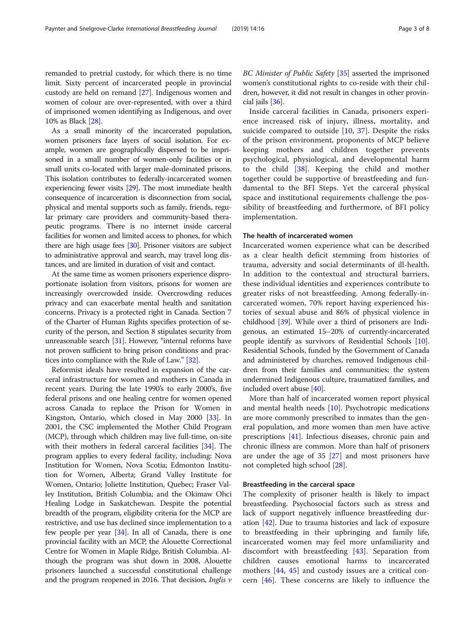remanded to pretrial custody, for which there is no time limit. Sixty percent of incarcerated people in provincial custody are held on remand [\[27\]](#page-7-0). Indigenous women and women of colour are over-represented, with over a third of imprisoned women identifying as Indigenous, and over 10% as Black [[28](#page-7-0)].

As a small minority of the incarcerated population, women prisoners face layers of social isolation. For example, women are geographically dispersed to be imprisoned in a small number of women-only facilities or in small units co-located with larger male-dominated prisons. This isolation contributes to federally-incarcerated women experiencing fewer visits [\[29\]](#page-7-0). The most immediate health consequence of incarceration is disconnection from social, physical and mental supports such as family, friends, regular primary care providers and community-based therapeutic programs. There is no internet inside carceral facilities for women and limited access to phones, for which there are high usage fees [\[30\]](#page-7-0). Prisoner visitors are subject to administrative approval and search, may travel long distances, and are limited in duration of visit and contact.

At the same time as women prisoners experience disproportionate isolation from visitors, prisons for women are increasingly overcrowded inside. Overcrowding reduces privacy and can exacerbate mental health and sanitation concerns. Privacy is a protected right in Canada. Section 7 of the Charter of Human Rights specifies protection of security of the person, and Section 8 stipulates security from unreasonable search [[31](#page-7-0)]. However, "internal reforms have not proven sufficient to bring prison conditions and practices into compliance with the Rule of Law." [\[32\]](#page-7-0).

Reformist ideals have resulted in expansion of the carceral infrastructure for women and mothers in Canada in recent years. During the late 1990's to early 2000's, five federal prisons and one healing centre for women opened across Canada to replace the Prison for Women in Kingston, Ontario, which closed in May 2000 [[33\]](#page-7-0). In 2001, the CSC implemented the Mother Child Program (MCP), through which children may live full-time, on-site with their mothers in federal carceral facilities [[34](#page-7-0)]. The program applies to every federal facility, including: Nova Institution for Women, Nova Scotia; Edmonton Institution for Women, Alberta; Grand Valley Institute for Women, Ontario; Joliette Institution, Quebec; Fraser Valley Institution, British Columbia; and the Okimaw Ohci Healing Lodge in Saskatchewan. Despite the potential breadth of the program, eligibility criteria for the MCP are restrictive, and use has declined since implementation to a few people per year [[34](#page-7-0)]. In all of Canada, there is one provincial facility with an MCP, the Alouette Correctional Centre for Women in Maple Ridge, British Columbia. Although the program was shut down in 2008, Alouette prisoners launched a successful constitutional challenge and the program reopened in 2016. That decision, *Inglis*  $\nu$  BC Minister of Public Safety [[35](#page-7-0)] asserted the imprisoned women's constitutional rights to co-reside with their children, however, it did not result in changes in other provincial jails [[36\]](#page-7-0).

Inside carceral facilities in Canada, prisoners experience increased risk of injury, illness, mortality, and suicide compared to outside [[10](#page-6-0), [37](#page-7-0)]. Despite the risks of the prison environment, proponents of MCP believe keeping mothers and children together prevents psychological, physiological, and developmental harm to the child [[38\]](#page-7-0). Keeping the child and mother together could be supportive of breastfeeding and fundamental to the BFI Steps. Yet the carceral physical space and institutional requirements challenge the possibility of breastfeeding and furthermore, of BFI policy implementation.

# The health of incarcerated women

Incarcerated women experience what can be described as a clear health deficit stemming from histories of trauma, adversity and social determinants of ill-health. In addition to the contextual and structural barriers, these individual identities and experiences contribute to greater risks of not breastfeeding. Among federally-incarcerated women, 70% report having experienced histories of sexual abuse and 86% of physical violence in childhood [[39](#page-7-0)]. While over a third of prisoners are Indigenous, an estimated 15–20% of currently-incarcerated people identify as survivors of Residential Schools [[10](#page-6-0)]. Residential Schools, funded by the Government of Canada and administered by churches, removed Indigenous children from their families and communities; the system undermined Indigenous culture, traumatized families, and included overt abuse [\[40\]](#page-7-0).

More than half of incarcerated women report physical and mental health needs [\[10](#page-6-0)]. Psychotropic medications are more commonly prescribed to inmates than the general population, and more women than men have active prescriptions [[41\]](#page-7-0). Infectious diseases, chronic pain and chronic illness are common. More than half of prisoners are under the age of 35 [[27\]](#page-7-0) and most prisoners have not completed high school [\[28](#page-7-0)].

#### Breastfeeding in the carceral space

The complexity of prisoner health is likely to impact breastfeeding. Psychosocial factors such as stress and lack of support negatively influence breastfeeding duration [[42\]](#page-7-0). Due to trauma histories and lack of exposure to breastfeeding in their upbringing and family life, incarcerated women may feel more unfamiliarity and discomfort with breastfeeding [[43\]](#page-7-0). Separation from children causes emotional harms to incarcerated mothers [\[44](#page-7-0), [45](#page-7-0)] and custody issues are a critical concern [\[46](#page-7-0)]. These concerns are likely to influence the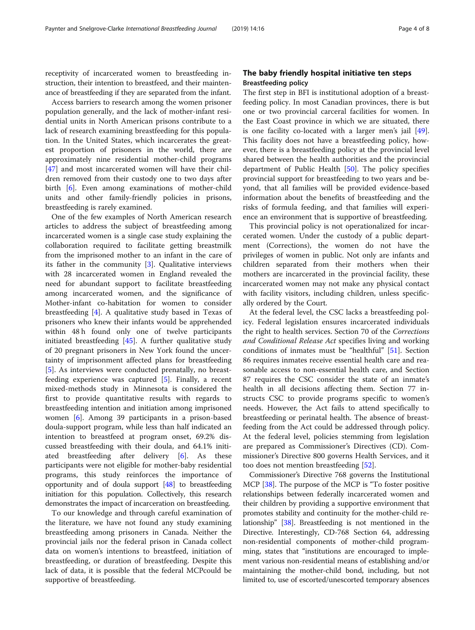Access barriers to research among the women prisoner population generally, and the lack of mother-infant residential units in North American prisons contribute to a lack of research examining breastfeeding for this population. In the United States, which incarcerates the greatest proportion of prisoners in the world, there are approximately nine residential mother-child programs [[47\]](#page-7-0) and most incarcerated women will have their children removed from their custody one to two days after birth [[6\]](#page-6-0). Even among examinations of mother-child units and other family-friendly policies in prisons, breastfeeding is rarely examined.

One of the few examples of North American research articles to address the subject of breastfeeding among incarcerated women is a single case study explaining the collaboration required to facilitate getting breastmilk from the imprisoned mother to an infant in the care of its father in the community [[3](#page-6-0)]. Qualitative interviews with 28 incarcerated women in England revealed the need for abundant support to facilitate breastfeeding among incarcerated women, and the significance of Mother-infant co-habitation for women to consider breastfeeding [\[4\]](#page-6-0). A qualitative study based in Texas of prisoners who knew their infants would be apprehended within 48 h found only one of twelve participants initiated breastfeeding [[45\]](#page-7-0). A further qualitative study of 20 pregnant prisoners in New York found the uncertainty of imprisonment affected plans for breastfeeding [[5\]](#page-6-0). As interviews were conducted prenatally, no breastfeeding experience was captured [\[5](#page-6-0)]. Finally, a recent mixed-methods study in Minnesota is considered the first to provide quantitative results with regards to breastfeeding intention and initiation among imprisoned women [\[6](#page-6-0)]. Among 39 participants in a prison-based doula-support program, while less than half indicated an intention to breastfeed at program onset, 69.2% discussed breastfeeding with their doula, and 64.1% initiated breastfeeding after delivery [\[6](#page-6-0)]. As these participants were not eligible for mother-baby residential programs, this study reinforces the importance of opportunity and of doula support [\[48\]](#page-7-0) to breastfeeding initiation for this population. Collectively, this research demonstrates the impact of incarceration on breastfeeding.

To our knowledge and through careful examination of the literature, we have not found any study examining breastfeeding among prisoners in Canada. Neither the provincial jails nor the federal prison in Canada collect data on women's intentions to breastfeed, initiation of breastfeeding, or duration of breastfeeding. Despite this lack of data, it is possible that the federal MCPcould be supportive of breastfeeding.

# The baby friendly hospital initiative ten steps Breastfeeding policy

The first step in BFI is institutional adoption of a breastfeeding policy. In most Canadian provinces, there is but one or two provincial carceral facilities for women. In the East Coast province in which we are situated, there is one facility co-located with a larger men's jail [\[49](#page-7-0)]. This facility does not have a breastfeeding policy, however, there is a breastfeeding policy at the provincial level shared between the health authorities and the provincial department of Public Health [[50\]](#page-7-0). The policy specifies provincial support for breastfeeding to two years and beyond, that all families will be provided evidence-based information about the benefits of breastfeeding and the risks of formula feeding, and that families will experience an environment that is supportive of breastfeeding.

This provincial policy is not operationalized for incarcerated women. Under the custody of a public department (Corrections), the women do not have the privileges of women in public. Not only are infants and children separated from their mothers when their mothers are incarcerated in the provincial facility, these incarcerated women may not make any physical contact with facility visitors, including children, unless specifically ordered by the Court.

At the federal level, the CSC lacks a breastfeeding policy. Federal legislation ensures incarcerated individuals the right to health services. Section 70 of the Corrections and Conditional Release Act specifies living and working conditions of inmates must be "healthful" [\[51\]](#page-7-0). Section 86 requires inmates receive essential health care and reasonable access to non-essential health care, and Section 87 requires the CSC consider the state of an inmate's health in all decisions affecting them. Section 77 instructs CSC to provide programs specific to women's needs. However, the Act fails to attend specifically to breastfeeding or perinatal health. The absence of breastfeeding from the Act could be addressed through policy. At the federal level, policies stemming from legislation are prepared as Commissioner's Directives (CD). Commissioner's Directive 800 governs Health Services, and it too does not mention breastfeeding [[52](#page-7-0)].

Commissioner's Directive 768 governs the Institutional MCP [\[38\]](#page-7-0). The purpose of the MCP is "To foster positive relationships between federally incarcerated women and their children by providing a supportive environment that promotes stability and continuity for the mother-child relationship" [[38](#page-7-0)]. Breastfeeding is not mentioned in the Directive. Interestingly, CD-768 Section 64, addressing non-residential components of mother-child programming, states that "institutions are encouraged to implement various non-residential means of establishing and/or maintaining the mother-child bond, including, but not limited to, use of escorted/unescorted temporary absences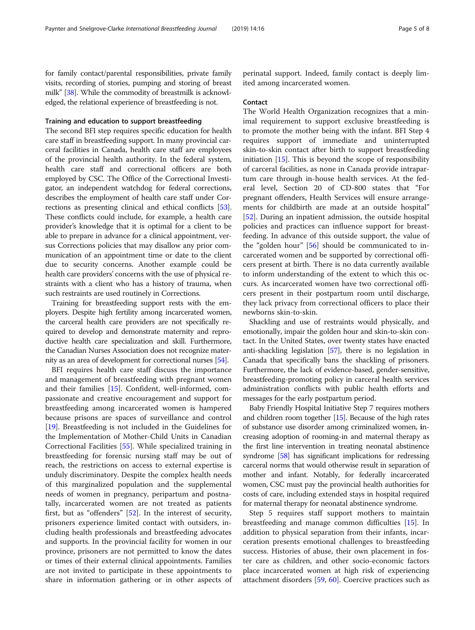for family contact/parental responsibilities, private family visits, recording of stories, pumping and storing of breast milk" [[38](#page-7-0)]. While the commodity of breastmilk is acknowledged, the relational experience of breastfeeding is not.

# Training and education to support breastfeeding

The second BFI step requires specific education for health care staff in breastfeeding support. In many provincial carceral facilities in Canada, health care staff are employees of the provincial health authority. In the federal system, health care staff and correctional officers are both employed by CSC. The Office of the Correctional Investigator, an independent watchdog for federal corrections, describes the employment of health care staff under Corrections as presenting clinical and ethical conflicts [[53](#page-7-0)]. These conflicts could include, for example, a health care provider's knowledge that it is optimal for a client to be able to prepare in advance for a clinical appointment, versus Corrections policies that may disallow any prior communication of an appointment time or date to the client due to security concerns. Another example could be health care providers' concerns with the use of physical restraints with a client who has a history of trauma, when such restraints are used routinely in Corrections.

Training for breastfeeding support rests with the employers. Despite high fertility among incarcerated women, the carceral health care providers are not specifically required to develop and demonstrate maternity and reproductive health care specialization and skill. Furthermore, the Canadian Nurses Association does not recognize maternity as an area of development for correctional nurses [\[54\]](#page-7-0).

BFI requires health care staff discuss the importance and management of breastfeeding with pregnant women and their families [\[15](#page-6-0)]. Confident, well-informed, compassionate and creative encouragement and support for breastfeeding among incarcerated women is hampered because prisons are spaces of surveillance and control [[19\]](#page-7-0). Breastfeeding is not included in the Guidelines for the Implementation of Mother-Child Units in Canadian Correctional Facilities [\[55](#page-7-0)]. While specialized training in breastfeeding for forensic nursing staff may be out of reach, the restrictions on access to external expertise is unduly discriminatory. Despite the complex health needs of this marginalized population and the supplemental needs of women in pregnancy, peripartum and postnatally, incarcerated women are not treated as patients first, but as "offenders" [\[52\]](#page-7-0). In the interest of security, prisoners experience limited contact with outsiders, including health professionals and breastfeeding advocates and supports. In the provincial facility for women in our province, prisoners are not permitted to know the dates or times of their external clinical appointments. Families are not invited to participate in these appointments to share in information gathering or in other aspects of perinatal support. Indeed, family contact is deeply limited among incarcerated women.

#### Contact

The World Health Organization recognizes that a minimal requirement to support exclusive breastfeeding is to promote the mother being with the infant. BFI Step 4 requires support of immediate and uninterrupted skin-to-skin contact after birth to support breastfeeding initiation [\[15\]](#page-6-0). This is beyond the scope of responsibility of carceral facilities, as none in Canada provide intrapartum care through in-house health services. At the federal level, Section 20 of CD-800 states that "For pregnant offenders, Health Services will ensure arrangements for childbirth are made at an outside hospital" [[52\]](#page-7-0). During an inpatient admission, the outside hospital policies and practices can influence support for breastfeeding. In advance of this outside support, the value of the "golden hour" [\[56](#page-7-0)] should be communicated to incarcerated women and be supported by correctional officers present at birth. There is no data currently available to inform understanding of the extent to which this occurs. As incarcerated women have two correctional officers present in their postpartum room until discharge, they lack privacy from correctional officers to place their newborns skin-to-skin.

Shackling and use of restraints would physically, and emotionally, impair the golden hour and skin-to-skin contact. In the United States, over twenty states have enacted anti-shackling legislation [[57](#page-7-0)], there is no legislation in Canada that specifically bans the shackling of prisoners. Furthermore, the lack of evidence-based, gender-sensitive, breastfeeding-promoting policy in carceral health services administration conflicts with public health efforts and messages for the early postpartum period.

Baby Friendly Hospital Initiative Step 7 requires mothers and children room together [\[15\]](#page-6-0). Because of the high rates of substance use disorder among criminalized women, increasing adoption of rooming-in and maternal therapy as the first line intervention in treating neonatal abstinence syndrome [\[58\]](#page-7-0) has significant implications for redressing carceral norms that would otherwise result in separation of mother and infant. Notably, for federally incarcerated women, CSC must pay the provincial health authorities for costs of care, including extended stays in hospital required for maternal therapy for neonatal abstinence syndrome.

Step 5 requires staff support mothers to maintain breastfeeding and manage common difficulties [\[15\]](#page-6-0). In addition to physical separation from their infants, incarceration presents emotional challenges to breastfeeding success. Histories of abuse, their own placement in foster care as children, and other socio-economic factors place incarcerated women at high risk of experiencing attachment disorders [\[59](#page-7-0), [60](#page-7-0)]. Coercive practices such as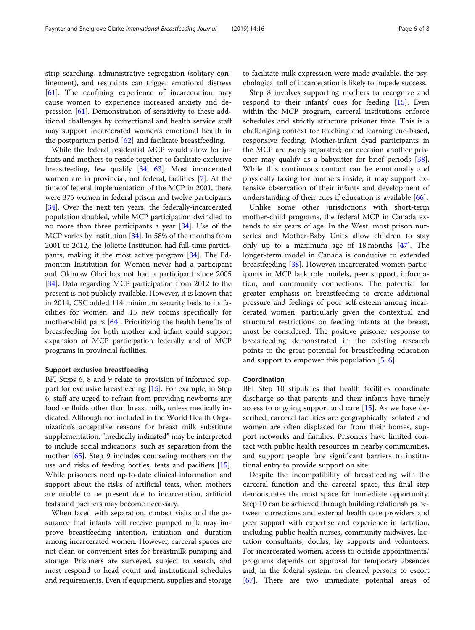strip searching, administrative segregation (solitary confinement), and restraints can trigger emotional distress [[61\]](#page-7-0). The confining experience of incarceration may cause women to experience increased anxiety and depression [\[61](#page-7-0)]. Demonstration of sensitivity to these additional challenges by correctional and health service staff may support incarcerated women's emotional health in

the postpartum period [[62\]](#page-7-0) and facilitate breastfeeding.

While the federal residential MCP would allow for infants and mothers to reside together to facilitate exclusive breastfeeding, few qualify [[34](#page-7-0), [63\]](#page-7-0). Most incarcerated women are in provincial, not federal, facilities [[7\]](#page-6-0). At the time of federal implementation of the MCP in 2001, there were 375 women in federal prison and twelve participants [[34](#page-7-0)]. Over the next ten years, the federally-incarcerated population doubled, while MCP participation dwindled to no more than three participants a year [\[34](#page-7-0)]. Use of the MCP varies by institution [[34](#page-7-0)]. In 58% of the months from 2001 to 2012, the Joliette Institution had full-time participants, making it the most active program [\[34](#page-7-0)]. The Edmonton Institution for Women never had a participant and Okimaw Ohci has not had a participant since 2005 [[34](#page-7-0)]. Data regarding MCP participation from 2012 to the present is not publicly available. However, it is known that in 2014, CSC added 114 minimum security beds to its facilities for women, and 15 new rooms specifically for mother-child pairs [[64\]](#page-7-0). Prioritizing the health benefits of breastfeeding for both mother and infant could support expansion of MCP participation federally and of MCP programs in provincial facilities.

# Support exclusive breastfeeding

BFI Steps 6, 8 and 9 relate to provision of informed support for exclusive breastfeeding [\[15\]](#page-6-0). For example, in Step 6, staff are urged to refrain from providing newborns any food or fluids other than breast milk, unless medically indicated. Although not included in the World Health Organization's acceptable reasons for breast milk substitute supplementation, "medically indicated" may be interpreted to include social indications, such as separation from the mother [\[65\]](#page-7-0). Step 9 includes counseling mothers on the use and risks of feeding bottles, teats and pacifiers [[15](#page-6-0)]. While prisoners need up-to-date clinical information and support about the risks of artificial teats, when mothers are unable to be present due to incarceration, artificial teats and pacifiers may become necessary.

When faced with separation, contact visits and the assurance that infants will receive pumped milk may improve breastfeeding intention, initiation and duration among incarcerated women. However, carceral spaces are not clean or convenient sites for breastmilk pumping and storage. Prisoners are surveyed, subject to search, and must respond to head count and institutional schedules and requirements. Even if equipment, supplies and storage

to facilitate milk expression were made available, the psychological toll of incarceration is likely to impede success.

Step 8 involves supporting mothers to recognize and respond to their infants' cues for feeding [[15\]](#page-6-0). Even within the MCP program, carceral institutions enforce schedules and strictly structure prisoner time. This is a challenging context for teaching and learning cue-based, responsive feeding. Mother-infant dyad participants in the MCP are rarely separated; on occasion another prisoner may qualify as a babysitter for brief periods [\[38](#page-7-0)]. While this continuous contact can be emotionally and physically taxing for mothers inside, it may support extensive observation of their infants and development of understanding of their cues if education is available [[66](#page-7-0)].

Unlike some other jurisdictions with short-term mother-child programs, the federal MCP in Canada extends to six years of age. In the West, most prison nurseries and Mother-Baby Units allow children to stay only up to a maximum age of 18 months [\[47](#page-7-0)]. The longer-term model in Canada is conducive to extended breastfeeding [\[38](#page-7-0)]. However, incarcerated women participants in MCP lack role models, peer support, information, and community connections. The potential for greater emphasis on breastfeeding to create additional pressure and feelings of poor self-esteem among incarcerated women, particularly given the contextual and structural restrictions on feeding infants at the breast, must be considered. The positive prisoner response to breastfeeding demonstrated in the existing research points to the great potential for breastfeeding education and support to empower this population [\[5,](#page-6-0) [6\]](#page-6-0).

#### Coordination

BFI Step 10 stipulates that health facilities coordinate discharge so that parents and their infants have timely access to ongoing support and care [[15\]](#page-6-0). As we have described, carceral facilities are geographically isolated and women are often displaced far from their homes, support networks and families. Prisoners have limited contact with public health resources in nearby communities, and support people face significant barriers to institutional entry to provide support on site.

Despite the incompatibility of breastfeeding with the carceral function and the carceral space, this final step demonstrates the most space for immediate opportunity. Step 10 can be achieved through building relationships between corrections and external health care providers and peer support with expertise and experience in lactation, including public health nurses, community midwives, lactation consultants, doulas, lay supports and volunteers. For incarcerated women, access to outside appointments/ programs depends on approval for temporary absences and, in the federal system, on cleared persons to escort [[67](#page-7-0)]. There are two immediate potential areas of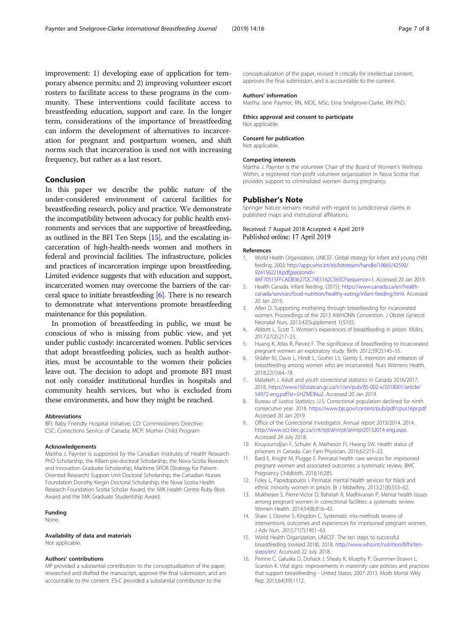<span id="page-6-0"></span>improvement: 1) developing ease of application for temporary absence permits; and 2) improving volunteer escort rosters to facilitate access to these programs in the community. These interventions could facilitate access to breastfeeding education, support and care. In the longer term, considerations of the importance of breastfeeding can inform the development of alternatives to incarceration for pregnant and postpartum women, and shift norms such that incarceration is used not with increasing frequency, but rather as a last resort.

#### Conclusion

In this paper we describe the public nature of the under-considered environment of carceral facilities for breastfeeding research, policy and practice. We demonstrate the incompatibility between advocacy for public health environments and services that are supportive of breastfeeding, as outlined in the BFI Ten Steps [15], and the escalating incarceration of high-health-needs women and mothers in federal and provincial facilities. The infrastructure, policies and practices of incarceration impinge upon breastfeeding. Limited evidence suggests that with education and support, incarcerated women may overcome the barriers of the carceral space to initiate breastfeeding [6]. There is no research to demonstrate what interventions promote breastfeeding maintenance for this population.

In promotion of breastfeeding in public, we must be conscious of who is missing from public view, and yet under public custody: incarcerated women. Public services that adopt breastfeeding policies, such as health authorities, must be accountable to the women their policies leave out. The decision to adopt and promote BFI must not only consider institutional hurdles in hospitals and community health services, but who is excluded from these environments, and how they might be reached.

#### Abbreviations

BFI: Baby Friendly Hospital Initiative; CD: Commissioners Directive; CSC: Corrections Service of Canada; MCP: Mother Child Program

#### Acknowledgements

Martha J. Paynter is supported by the Canadian Institutes of Health Research PhD Scholarship, the Killam pre-doctoral Scholarship, the Nova Scotia Research and Innovation Graduate Scholarship, Maritime SPOR (Strategy for Patient-Oriented Research) Support Unit Doctoral Scholarship, the Canadian Nurses Foundation Dorothy Kergin Doctoral Scholarship, the Nova Scotia Health Research Foundation Scotia Scholar Award, the IWK Health Centre Ruby Blois Award and the IWK Graduate Studentship Award.

# Funding

None.

#### Availability of data and materials

Not applicable.

#### Authors' contributions

MP provided a substantial contribution to the conceptualization of the paper, researched and drafted the manuscript, approve the final submission, and am accountable to the content. ES-C provided a substantial contribution to the

conceptualization of the paper, revised it critically for intellectual content, approves the final submission, and is accountable to the content.

#### Authors' information

Martha Jane Paynter, RN, MDE, MSc; Erna Snelgrove-Clarke, RN PhD.

#### Ethics approval and consent to participate

Not applicable.

#### Consent for publication

Not applicable.

#### Competing interests

Martha J. Paynter is the volunteer Chair of the Board of Women's Wellness Within, a registered non-profit volunteer organization in Nova Scotia that provides support to criminalized women during pregnancy.

### Publisher's Note

Springer Nature remains neutral with regard to jurisdictional claims in published maps and institutional affiliations.

#### Received: 7 August 2018 Accepted: 4 April 2019 Published online: 17 April 2019

#### References

- 1. World Health Organization, UNICEF. Global strategy for infant and young child feeding. 2003; [http://apps.who.int/iris/bitstream/handle/10665/42590/](http://apps.who.int/iris/bitstream/handle/10665/42590/9241562218.pdf;jsessionid=8AF70515FFCADB3627DC74E5162C363D?sequence=1) [9241562218.pdf;jsessionid=](http://apps.who.int/iris/bitstream/handle/10665/42590/9241562218.pdf;jsessionid=8AF70515FFCADB3627DC74E5162C363D?sequence=1)
- [8AF70515FFCADB3627DC74E5162C363D?sequence=1](http://apps.who.int/iris/bitstream/handle/10665/42590/9241562218.pdf;jsessionid=8AF70515FFCADB3627DC74E5162C363D?sequence=1). Accessed 20 Jan 2019. 2. Health Canada. Infant feeding. (2015); [https://www.canada.ca/en/health-](https://www.canada.ca/en/health-canada/services/food-nutrition/healthy-eating/infant-feeding.html)
- [canada/services/food-nutrition/healthy-eating/infant-feeding.html.](https://www.canada.ca/en/health-canada/services/food-nutrition/healthy-eating/infant-feeding.html) Accessed 20 Jan 2019.
- 3. Allen D. Supporting mothering through breastfeeding for incarcerated women. Proceedings of the 2013 AWHONN Convention. J Obstet Gynecol Neonatal Nurs. 2013;42(Supplement 1):S103.
- 4. Abbott L, Scott T. Women's experiences of breastfeeding in prison. Midirs. 2017;27(2):217–23.
- 5. Huang K, Atlas R, Parvez F. The significance of breastfeeding to incarcerated pregnant women: an exploratory study. Birth. 2012;39(2):145–55.
- 6. Shlafer RJ, Davis L, Hindt L, Goshin LS, Gerrity E. Intention and initiation of breastfeeding among women who are incarcerated. Nurs Womens Health. 2018;22(1):64–78.
- 7. Malakieh J. Adult and youth correctional statistics in Canada 2016/2017. 2018. [https://www150.statcan.gc.ca/n1/en/pub/85-002-x/2018001/article/](https://www150.statcan.gc.ca/n1/en/pub/85-002-x/2018001/article/54972-eng.pdf?st=5HZMDNu2) [54972-eng.pdf?st=5HZMDNu2.](https://www150.statcan.gc.ca/n1/en/pub/85-002-x/2018001/article/54972-eng.pdf?st=5HZMDNu2) Accessed 20 Jan 2019.
- 8. Bureau of Justice Statistics. U.S. Correctional population declined for ninth consecutive year. 2018. [https://www.bjs.gov/content/pub/pdf/cpus16pr.pdf.](https://www.bjs.gov/content/pub/pdf/cpus16pr.pdf) Accessed 20 Jan 2019.
- 9. Office of the Correctional Investigator. Annual report 2013/2014. 2014. [http://www.oci-bec.gc.ca/cnt/rpt/annrpt/annrpt20132014-eng.aspx.](http://www.oci-bec.gc.ca/cnt/rpt/annrpt/annrpt20132014-eng.aspx) Accessed 24 July 2018.
- 10. Kouyoumdjian F, Schuler A, Matheson FI, Hwang SW. Health status of prisoners in Canada. Can Fam Physician. 2016;62:215–22.
- 11. Bard E, Knight M, Plugge E. Perinatal health care services for imprisoned pregnant women and associated outcomes: a systematic review. BMC Pregnancy Childbirth. 2016;16:285.
- 12. Foley L, Papadopoulos I. Perinatal mental health services for black and ethnic minority women in prison. Br J Midwifery. 2013;21(8):553–62.
- 13. Mukherjee S, Pierre-Victor D, Bahelah R, Madhivanan P. Mental health issues among pregnant women in correctional facilities: a systematic review. Women Health. 2014;54(8):816–42.
- 14. Shaw J, Downe S, Kingdon C. Systematic mix-methods review of interventions, outcomes and experiences for imprisoned pregnant women. J Adv Nurs. 2015;71(7):1451–63.
- 15. World Health Organization, UNICEF. The ten steps to successful breastfeeding (revised 2018). 2018. [http://www.who.int/nutrition/bfhi/ten](http://www.who.int/nutrition/bfhi/ten-steps/en/)[steps/en/](http://www.who.int/nutrition/bfhi/ten-steps/en/). Accessed 22 July 2018.
- 16. Perrine C, Galuska D, Dohack J, Shealy K, Murphy P, Grummer-Strawn L, Scanlon K. Vital signs: improvements in maternity care policies and practices that support breastfeeding - United States, 2007-2013. Morb Mortal Wkly Rep. 2015;64(39):1112.